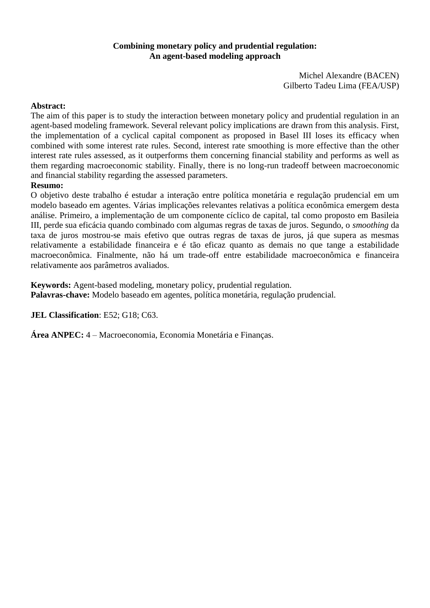# **Combining monetary policy and prudential regulation: An agent-based modeling approach**

Michel Alexandre (BACEN) Gilberto Tadeu Lima (FEA/USP)

# **Abstract:**

The aim of this paper is to study the interaction between monetary policy and prudential regulation in an agent-based modeling framework. Several relevant policy implications are drawn from this analysis. First, the implementation of a cyclical capital component as proposed in Basel III loses its efficacy when combined with some interest rate rules. Second, interest rate smoothing is more effective than the other interest rate rules assessed, as it outperforms them concerning financial stability and performs as well as them regarding macroeconomic stability. Finally, there is no long-run tradeoff between macroeconomic and financial stability regarding the assessed parameters.

# **Resumo:**

O objetivo deste trabalho é estudar a interação entre política monetária e regulação prudencial em um modelo baseado em agentes. Várias implicações relevantes relativas a política econômica emergem desta análise. Primeiro, a implementação de um componente cíclico de capital, tal como proposto em Basileia III, perde sua eficácia quando combinado com algumas regras de taxas de juros. Segundo, o *smoothing* da taxa de juros mostrou-se mais efetivo que outras regras de taxas de juros, já que supera as mesmas relativamente a estabilidade financeira e é tão eficaz quanto as demais no que tange a estabilidade macroeconômica. Finalmente, não há um trade-off entre estabilidade macroeconômica e financeira relativamente aos parâmetros avaliados.

**Keywords:** Agent-based modeling, monetary policy, prudential regulation. **Palavras-chave:** Modelo baseado em agentes, política monetária, regulação prudencial.

**JEL Classification**: E52; G18; C63.

**Área ANPEC:** 4 – Macroeconomia, Economia Monetária e Finanças.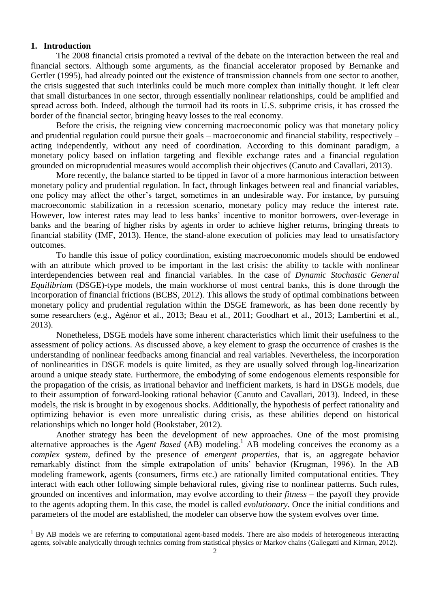# **1. Introduction**

 $\overline{a}$ 

The 2008 financial crisis promoted a revival of the debate on the interaction between the real and financial sectors. Although some arguments, as the financial accelerator proposed by Bernanke and Gertler (1995), had already pointed out the existence of transmission channels from one sector to another, the crisis suggested that such interlinks could be much more complex than initially thought. It left clear that small disturbances in one sector, through essentially nonlinear relationships, could be amplified and spread across both. Indeed, although the turmoil had its roots in U.S. subprime crisis, it has crossed the border of the financial sector, bringing heavy losses to the real economy.

Before the crisis, the reigning view concerning macroeconomic policy was that monetary policy and prudential regulation could pursue their goals – macroeconomic and financial stability, respectively – acting independently, without any need of coordination. According to this dominant paradigm, a monetary policy based on inflation targeting and flexible exchange rates and a financial regulation grounded on microprudential measures would accomplish their objectives (Canuto and Cavallari, 2013).

More recently, the balance started to be tipped in favor of a more harmonious interaction between monetary policy and prudential regulation. In fact, through linkages between real and financial variables, one policy may affect the other's target, sometimes in an undesirable way. For instance, by pursuing macroeconomic stabilization in a recession scenario, monetary policy may reduce the interest rate. However, low interest rates may lead to less banks' incentive to monitor borrowers, over-leverage in banks and the bearing of higher risks by agents in order to achieve higher returns, bringing threats to financial stability (IMF, 2013). Hence, the stand-alone execution of policies may lead to unsatisfactory outcomes.

To handle this issue of policy coordination, existing macroeconomic models should be endowed with an attribute which proved to be important in the last crisis: the ability to tackle with nonlinear interdependencies between real and financial variables. In the case of *Dynamic Stochastic General Equilibrium* (DSGE)-type models, the main workhorse of most central banks, this is done through the incorporation of financial frictions (BCBS, 2012). This allows the study of optimal combinations between monetary policy and prudential regulation within the DSGE framework, as has been done recently by some researchers (e.g., Agénor et al., 2013; Beau et al., 2011; Goodhart et al., 2013; Lambertini et al., 2013).

Nonetheless, DSGE models have some inherent characteristics which limit their usefulness to the assessment of policy actions. As discussed above, a key element to grasp the occurrence of crashes is the understanding of nonlinear feedbacks among financial and real variables. Nevertheless, the incorporation of nonlinearities in DSGE models is quite limited, as they are usually solved through log-linearization around a unique steady state. Furthermore, the embodying of some endogenous elements responsible for the propagation of the crisis, as irrational behavior and inefficient markets, is hard in DSGE models, due to their assumption of forward-looking rational behavior (Canuto and Cavallari, 2013). Indeed, in these models, the risk is brought in by exogenous shocks. Additionally, the hypothesis of perfect rationality and optimizing behavior is even more unrealistic during crisis, as these abilities depend on historical relationships which no longer hold (Bookstaber, 2012).

Another strategy has been the development of new approaches. One of the most promising alternative approaches is the *Agent Based* (AB) modeling. <sup>1</sup> AB modeling conceives the economy as a *complex system*, defined by the presence of *emergent properties*, that is, an aggregate behavior remarkably distinct from the simple extrapolation of units' behavior (Krugman, 1996). In the AB modeling framework, agents (consumers, firms etc.) are rationally limited computational entities. They interact with each other following simple behavioral rules, giving rise to nonlinear patterns. Such rules, grounded on incentives and information, may evolve according to their *fitness* – the payoff they provide to the agents adopting them. In this case, the model is called *evolutionary*. Once the initial conditions and parameters of the model are established, the modeler can observe how the system evolves over time.

 $1$  By AB models we are referring to computational agent-based models. There are also models of heterogeneous interacting agents, solvable analytically through technics coming from statistical physics or Markov chains (Gallegatti and Kirman, 2012).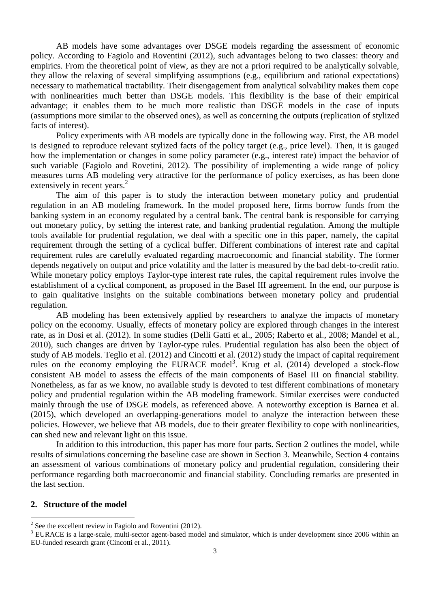AB models have some advantages over DSGE models regarding the assessment of economic policy. According to Fagiolo and Roventini (2012), such advantages belong to two classes: theory and empirics. From the theoretical point of view, as they are not a priori required to be analytically solvable, they allow the relaxing of several simplifying assumptions (e.g., equilibrium and rational expectations) necessary to mathematical tractability. Their disengagement from analytical solvability makes them cope with nonlinearities much better than DSGE models. This flexibility is the base of their empirical advantage; it enables them to be much more realistic than DSGE models in the case of inputs (assumptions more similar to the observed ones), as well as concerning the outputs (replication of stylized facts of interest).

Policy experiments with AB models are typically done in the following way. First, the AB model is designed to reproduce relevant stylized facts of the policy target (e.g., price level). Then, it is gauged how the implementation or changes in some policy parameter (e.g., interest rate) impact the behavior of such variable (Fagiolo and Rovetini, 2012). The possibility of implementing a wide range of policy measures turns AB modeling very attractive for the performance of policy exercises, as has been done extensively in recent years.<sup>2</sup>

The aim of this paper is to study the interaction between monetary policy and prudential regulation in an AB modeling framework. In the model proposed here, firms borrow funds from the banking system in an economy regulated by a central bank. The central bank is responsible for carrying out monetary policy, by setting the interest rate, and banking prudential regulation. Among the multiple tools available for prudential regulation, we deal with a specific one in this paper, namely, the capital requirement through the setting of a cyclical buffer. Different combinations of interest rate and capital requirement rules are carefully evaluated regarding macroeconomic and financial stability. The former depends negatively on output and price volatility and the latter is measured by the bad debt-to-credit ratio. While monetary policy employs Taylor-type interest rate rules, the capital requirement rules involve the establishment of a cyclical component, as proposed in the Basel III agreement. In the end, our purpose is to gain qualitative insights on the suitable combinations between monetary policy and prudential regulation.

AB modeling has been extensively applied by researchers to analyze the impacts of monetary policy on the economy. Usually, effects of monetary policy are explored through changes in the interest rate, as in Dosi et al. (2012). In some studies (Delli Gatti et al., 2005; Raberto et al., 2008; Mandel et al., 2010), such changes are driven by Taylor-type rules. Prudential regulation has also been the object of study of AB models. Teglio et al. (2012) and Cincotti et al. (2012) study the impact of capital requirement rules on the economy employing the EURACE model<sup>3</sup>. Krug et al.  $(2014)$  developed a stock-flow consistent AB model to assess the effects of the main components of Basel III on financial stability. Nonetheless, as far as we know, no available study is devoted to test different combinations of monetary policy and prudential regulation within the AB modeling framework. Similar exercises were conducted mainly through the use of DSGE models, as referenced above. A noteworthy exception is Barnea et al. (2015), which developed an overlapping-generations model to analyze the interaction between these policies. However, we believe that AB models, due to their greater flexibility to cope with nonlinearities, can shed new and relevant light on this issue.

In addition to this introduction, this paper has more four parts. Section 2 outlines the model, while results of simulations concerning the baseline case are shown in Section 3. Meanwhile, Section 4 contains an assessment of various combinations of monetary policy and prudential regulation, considering their performance regarding both macroeconomic and financial stability. Concluding remarks are presented in the last section.

## **2. Structure of the model**

 $\overline{a}$ 

 $2^2$  See the excellent review in Fagiolo and Roventini (2012).

<sup>&</sup>lt;sup>3</sup> EURACE is a large-scale, multi-sector agent-based model and simulator, which is under development since 2006 within an EU-funded research grant (Cincotti et al., 2011).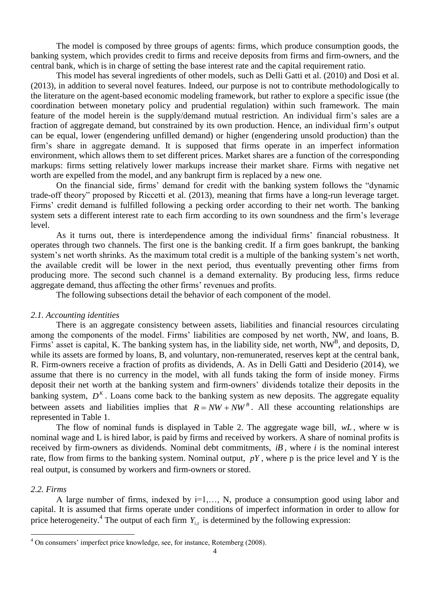The model is composed by three groups of agents: firms, which produce consumption goods, the banking system, which provides credit to firms and receive deposits from firms and firm-owners, and the central bank, which is in charge of setting the base interest rate and the capital requirement ratio.

This model has several ingredients of other models, such as Delli Gatti et al. (2010) and Dosi et al. (2013), in addition to several novel features. Indeed, our purpose is not to contribute methodologically to the literature on the agent-based economic modeling framework, but rather to explore a specific issue (the coordination between monetary policy and prudential regulation) within such framework. The main feature of the model herein is the supply/demand mutual restriction. An individual firm's sales are a fraction of aggregate demand, but constrained by its own production. Hence, an individual firm's output can be equal, lower (engendering unfilled demand) or higher (engendering unsold production) than the firm's share in aggregate demand. It is supposed that firms operate in an imperfect information environment, which allows them to set different prices. Market shares are a function of the corresponding markups: firms setting relatively lower markups increase their market share. Firms with negative net worth are expelled from the model, and any bankrupt firm is replaced by a new one.

On the financial side, firms' demand for credit with the banking system follows the "dynamic trade-off theory" proposed by Riccetti et al. (2013), meaning that firms have a long-run leverage target. Firms' credit demand is fulfilled following a pecking order according to their net worth. The banking system sets a different interest rate to each firm according to its own soundness and the firm's leverage level.

As it turns out, there is interdependence among the individual firms' financial robustness. It operates through two channels. The first one is the banking credit. If a firm goes bankrupt, the banking system's net worth shrinks. As the maximum total credit is a multiple of the banking system's net worth, the available credit will be lower in the next period, thus eventually preventing other firms from producing more. The second such channel is a demand externality. By producing less, firms reduce aggregate demand, thus affecting the other firms' revenues and profits.

The following subsections detail the behavior of each component of the model.

### *2.1. Accounting identities*

There is an aggregate consistency between assets, liabilities and financial resources circulating among the components of the model. Firms' liabilities are composed by net worth, NW, and loans, B. Firms' asset is capital, K. The banking system has, in the liability side, net worth, NW<sup>B</sup>, and deposits, D, while its assets are formed by loans, B, and voluntary, non-remunerated, reserves kept at the central bank, R. Firm-owners receive a fraction of profits as dividends, A. As in Delli Gatti and Desiderio (2014), we assume that there is no currency in the model, with all funds taking the form of inside money. Firms deposit their net worth at the banking system and firm-owners' dividends totalize their deposits in the banking system,  $D<sup>K</sup>$ . Loans come back to the banking system as new deposits. The aggregate equality between assets and liabilities implies that  $R = NW + NW^B$ . All these accounting relationships are represented in Table 1.

The flow of nominal funds is displayed in Table 2. The aggregate wage bill, *wL* , where w is nominal wage and L is hired labor, is paid by firms and received by workers. A share of nominal profits is received by firm-owners as dividends. Nominal debt commitments, *iB* , where *i* is the nominal interest rate, flow from firms to the banking system. Nominal output, *pY* , where p is the price level and Y is the real output, is consumed by workers and firm-owners or stored.

# *2.2. Firms*

 $\overline{a}$ 

A large number of firms, indexed by i=1,..., N, produce a consumption good using labor and capital. It is assumed that firms operate under conditions of imperfect information in order to allow for price heterogeneity.<sup>4</sup> The output of each firm  $Y_{i,t}$  is determined by the following expression:

<sup>&</sup>lt;sup>4</sup> On consumers' imperfect price knowledge, see, for instance, Rotemberg (2008).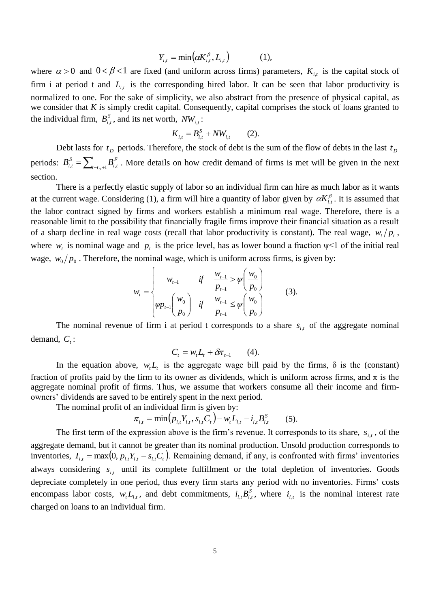$$
Y_{i,t} = \min\bigl(\alpha K_{i,t}^{\beta}, L_{i,t}\bigr) \tag{1},
$$

where  $\alpha > 0$  and  $0 < \beta < 1$  are fixed (and uniform across firms) parameters,  $K_{i,t}$  is the capital stock of firm i at period t and  $L_{i,t}$  is the corresponding hired labor. It can be seen that labor productivity is normalized to one. For the sake of simplicity, we also abstract from the presence of physical capital, as we consider that *K* is simply credit capital. Consequently, capital comprises the stock of loans granted to the individual firm,  $B_{i,t}^S$ , and its net worth,  $NW_{i,t}$ :

$$
K_{i,t} = B_{i,t}^S + NW_{i,t} \qquad (2).
$$

Debt lasts for  $t<sub>D</sub>$  periods. Therefore, the stock of debt is the sum of the flow of debts in the last  $t<sub>D</sub>$ periods:  $B_{i,t}^S = \sum_{t=t_D+1}^{t}$ *t t F i t S*  $B_{i,t}^S = \sum_{t=t_D+1}^u B_{i,t}^F$ . More details on how credit demand of firms is met will be given in the next section.

There is a perfectly elastic supply of labor so an individual firm can hire as much labor as it wants at the current wage. Considering (1), a firm will hire a quantity of labor given by  $\alpha K_{i,t}^{\beta}$ . It is assumed that the labor contract signed by firms and workers establish a minimum real wage. Therefore, there is a reasonable limit to the possibility that financially fragile firms improve their financial situation as a result of a sharp decline in real wage costs (recall that labor productivity is constant). The real wage,  $w_t/p_t$ , where  $w_t$  is nominal wage and  $p_t$  is the price level, has as lower bound a fraction  $\psi$ <1 of the initial real wage,  $w_0/p_0$ . Therefore, the nominal wage, which is uniform across firms, is given by:

$$
w_{t} = \begin{cases} w_{t-1} & \text{if } \frac{w_{t-1}}{p_{t-1}} > \psi\left(\frac{w_{0}}{p_{0}}\right) \\ \psi p_{t-1}\left(\frac{w_{0}}{p_{0}}\right) & \text{if } \frac{w_{t-1}}{p_{t-1}} \leq \psi\left(\frac{w_{0}}{p_{0}}\right) \end{cases}
$$
(3).

The nominal revenue of firm i at period t corresponds to a share  $s_{i,t}$  of the aggregate nominal demand,  $C_t$ :

$$
C_t = w_t L_t + \delta \pi_{t-1} \qquad (4).
$$

In the equation above,  $w_t L_t$  is the aggregate wage bill paid by the firms,  $\delta$  is the (constant) fraction of profits paid by the firm to its owner as dividends, which is uniform across firms, and  $\pi$  is the aggregate nominal profit of firms. Thus, we assume that workers consume all their income and firmowners' dividends are saved to be entirely spent in the next period.

The nominal profit of an individual firm is given by:

$$
\pi_{i,t} = \min (p_{i,t} Y_{i,t}, s_{i,t} C_t) - w_t L_{i,t} - i_{i,t} B_{i,t}^S \qquad (5).
$$

The first term of the expression above is the firm's revenue. It corresponds to its share,  $s_{i,t}$ , of the aggregate demand, but it cannot be greater than its nominal production. Unsold production corresponds to inventories,  $I_{i,t} = \max(0, p_{i,t} Y_{i,t} - s_{i,t} C_t)$ . Remaining demand, if any, is confronted with firms' inventories always considering  $s_{i,t}$  until its complete fulfillment or the total depletion of inventories. Goods depreciate completely in one period, thus every firm starts any period with no inventories. Firms' costs encompass labor costs,  $w_t L_{i,t}$ , and debt commitments,  $i_{i,t} B_{i,t}^S$ , where  $i_{i,t}$  is the nominal interest rate charged on loans to an individual firm.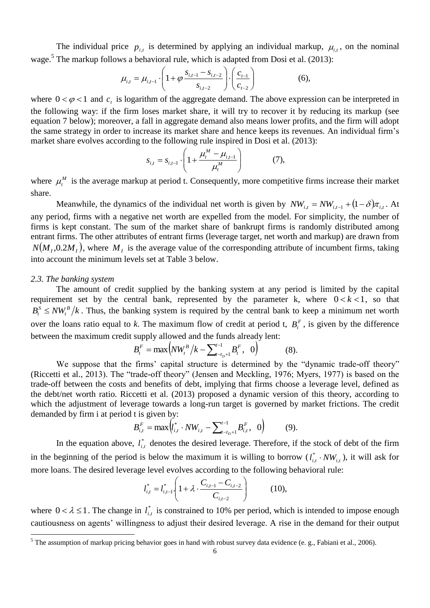The individual price  $p_{i,t}$  is determined by applying an individual markup,  $\mu_{i,t}$ , on the nominal wage.<sup>5</sup> The markup follows a behavioral rule, which is adapted from Dosi et al. (2013):

$$
\mu_{i,t} = \mu_{i,t-1} \cdot \left( 1 + \varphi \frac{s_{i,t-1} - s_{i,t-2}}{s_{i,t-2}} \right) \cdot \left( \frac{c_{t-1}}{c_{t-2}} \right) \tag{6}
$$

where  $0 < \varphi < 1$  and  $c<sub>t</sub>$  is logarithm of the aggregate demand. The above expression can be interpreted in the following way: if the firm loses market share, it will try to recover it by reducing its markup (see equation 7 below); moreover, a fall in aggregate demand also means lower profits, and the firm will adopt the same strategy in order to increase its market share and hence keeps its revenues. An individual firm's market share evolves according to the following rule inspired in Dosi et al. (2013):

$$
S_{i,t} = S_{i,t-1} \cdot \left( 1 + \frac{\mu_t^M - \mu_{i,t-1}}{\mu_t^M} \right) \tag{7}
$$

where  $\mu_t^M$  is the average markup at period t. Consequently, more competitive firms increase their market share.

Meanwhile, the dynamics of the individual net worth is given by  $NW_{i,t} = NW_{i,t-1} + (1 - \delta)\pi_{i,t}$ . At any period, firms with a negative net worth are expelled from the model. For simplicity, the number of firms is kept constant. The sum of the market share of bankrupt firms is randomly distributed among entrant firms. The other attributes of entrant firms (leverage target, net worth and markup) are drawn from  $N(M_I, 0.2M_I)$ , where  $M_I$  is the average value of the corresponding attribute of incumbent firms, taking into account the minimum levels set at Table 3 below.

#### *2.3. The banking system*

 $\overline{a}$ 

The amount of credit supplied by the banking system at any period is limited by the capital requirement set by the central bank, represented by the parameter k, where  $0 < k < 1$ , so that  $B_t^S \leq N W_t^B / k$ *t*  $S_t$   $\leq N W_t^B/k$ . Thus, the banking system is required by the central bank to keep a minimum net worth over the loans ratio equal to *k*. The maximum flow of credit at period t,  $B_t^F$ , is given by the difference between the maximum credit supply allowed and the funds already lent:

$$
B_t^F = \max\Big( N W_t^B / k - \sum_{t=t_D+1}^{t-1} B_t^F, \quad 0 \Big) \tag{8}
$$

We suppose that the firms' capital structure is determined by the "dynamic trade-off theory" (Riccetti et al., 2013). The "trade-off theory" (Jensen and Meckling, 1976; Myers, 1977) is based on the trade-off between the costs and benefits of debt, implying that firms choose a leverage level, defined as the debt/net worth ratio. Riccetti et al. (2013) proposed a dynamic version of this theory, according to which the adjustment of leverage towards a long-run target is governed by market frictions. The credit demanded by firm i at period t is given by:

$$
B_{i,t}^{F} = \max \Bigl( l_{i,t}^{*} \cdot NW_{i,t} - \sum_{t-t_D+1}^{t-1} B_{i,t}^{F}, 0 \Bigr) \hspace{1cm} (9).
$$

In the equation above,  $l_i^*$  $l_{i,t}^*$  denotes the desired leverage. Therefore, if the stock of debt of the firm in the beginning of the period is below the maximum it is willing to borrow  $(l_{i,t}^* \cdot NW_{i,t})$ \*  $_{i,t}^*$  · NW<sub>i,t</sub>), it will ask for more loans. The desired leverage level evolves according to the following behavioral rule:

$$
l_{i,t}^* = l_{i,t-1}^* \left( 1 + \lambda \cdot \frac{C_{i,t-1} - C_{i,t-2}}{C_{i,t-2}} \right) \tag{10}
$$

where  $0 < \lambda \leq 1$ . The change in  $l_i^*$  $l_{i,t}^*$  is constrained to 10% per period, which is intended to impose enough cautiousness on agents' willingness to adjust their desired leverage. A rise in the demand for their output

 $<sup>5</sup>$  The assumption of markup pricing behavior goes in hand with robust survey data evidence (e. g., Fabiani et al., 2006).</sup>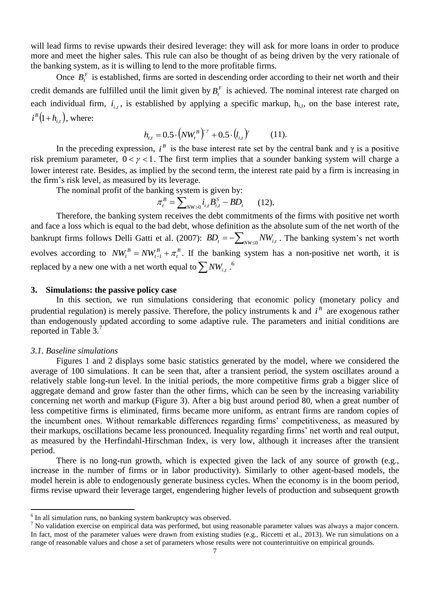will lead firms to revise upwards their desired leverage: they will ask for more loans in order to produce more and meet the higher sales. This rule can also be thought of as being driven by the very rationale of the banking system, as it is willing to lend to the more profitable firms.

Once  $B_t^F$  is established, firms are sorted in descending order according to their net worth and their credit demands are fulfilled until the limit given by  $B_t^F$  is achieved. The nominal interest rate charged on each individual firm,  $i_{i,t}$ , is established by applying a specific markup,  $h_{i,t}$ , on the base interest rate,  $i^B(1+h_{i,t})$ , where:

$$
h_{i,t} = 0.5 \cdot \left( N W_t^B \right)^{-\gamma} + 0.5 \cdot \left( l_{i,t} \right)^{\gamma} \tag{11}.
$$

In the preceding expression,  $i^B$  is the base interest rate set by the central bank and  $\gamma$  is a positive risk premium parameter,  $0 < \gamma < 1$ . The first term implies that a sounder banking system will charge a lower interest rate. Besides, as implied by the second term, the interest rate paid by a firm is increasing in the firm's risk level, as measured by its leverage.

The nominal profit of the banking system is given by:

$$
\pi_i^B = \sum_{NW>0} i_{i,t} B_{i,t}^S - BD_t \qquad (12).
$$

Therefore, the banking system receives the debt commitments of the firms with positive net worth and face a loss which is equal to the bad debt, whose definition as the absolute sum of the net worth of the bankrupt firms follows Delli Gatti et al. (2007):  $BD_t = -\sum_{NW \le 0} NW_{i,t}$ . The banking system's net worth evolves according to  $NW_t^B = NW_{t-1}^B + \pi_t^B$ *t B*  $NW_t^B = NW_{t-1}^B + \pi_t^B$ . If the banking system has a non-positive net worth, it is replaced by a new one with a net worth equal to  $\sum NW_{i,t}$  .  $\stackrel{6}{\cdot}$ 

### **3. Simulations: the passive policy case**

In this section, we run simulations considering that economic policy (monetary policy and prudential regulation) is merely passive. Therefore, the policy instruments  $k$  and  $i<sup>B</sup>$  are exogenous rather than endogenously updated according to some adaptive rule. The parameters and initial conditions are reported in Table 3.7

## *3.1. Baseline simulations*

 $\overline{a}$ 

Figures 1 and 2 displays some basic statistics generated by the model, where we considered the average of 100 simulations. It can be seen that, after a transient period, the system oscillates around a relatively stable long-run level. In the initial periods, the more competitive firms grab a bigger slice of aggregate demand and grow faster than the other firms, which can be seen by the increasing variability concerning net worth and markup (Figure 3). After a big bust around period 80, when a great number of less competitive firms is eliminated, firms became more uniform, as entrant firms are random copies of the incumbent ones. Without remarkable differences regarding firms' competitiveness, as measured by their markups, oscillations became less pronounced. Inequality regarding firms' net worth and real output, as measured by the Herfindahl-Hirschman Index, is very low, although it increases after the transient period.

There is no long-run growth, which is expected given the lack of any source of growth (e.g., increase in the number of firms or in labor productivity). Similarly to other agent-based models, the model herein is able to endogenously generate business cycles. When the economy is in the boom period, firms revise upward their leverage target, engendering higher levels of production and subsequent growth

<sup>&</sup>lt;sup>6</sup> In all simulation runs, no banking system bankruptcy was observed.

<sup>&</sup>lt;sup>7</sup> No validation exercise on empirical data was performed, but using reasonable parameter values was always a major concern. In fact, most of the parameter values were drawn from existing studies (e.g., Riccetti et al., 2013). We run simulations on a range of reasonable values and chose a set of parameters whose results were not counterintuitive on empirical grounds.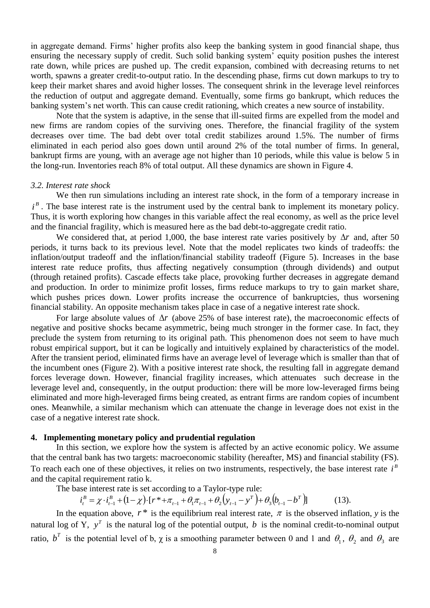in aggregate demand. Firms' higher profits also keep the banking system in good financial shape, thus ensuring the necessary supply of credit. Such solid banking system' equity position pushes the interest rate down, while prices are pushed up. The credit expansion, combined with decreasing returns to net worth, spawns a greater credit-to-output ratio. In the descending phase, firms cut down markups to try to keep their market shares and avoid higher losses. The consequent shrink in the leverage level reinforces the reduction of output and aggregate demand. Eventually, some firms go bankrupt, which reduces the banking system's net worth. This can cause credit rationing, which creates a new source of instability.

Note that the system is adaptive, in the sense that ill-suited firms are expelled from the model and new firms are random copies of the surviving ones. Therefore, the financial fragility of the system decreases over time. The bad debt over total credit stabilizes around 1.5%. The number of firms eliminated in each period also goes down until around 2% of the total number of firms. In general, bankrupt firms are young, with an average age not higher than 10 periods, while this value is below 5 in the long-run. Inventories reach 8% of total output. All these dynamics are shown in Figure 4.

# *3.2. Interest rate shock*

We then run simulations including an interest rate shock, in the form of a temporary increase in  $i<sup>B</sup>$ . The base interest rate is the instrument used by the central bank to implement its monetary policy. Thus, it is worth exploring how changes in this variable affect the real economy, as well as the price level and the financial fragility, which is measured here as the bad debt-to-aggregate credit ratio.

We considered that, at period 1,000, the base interest rate varies positively by  $\Delta r$  and, after 50 periods, it turns back to its previous level. Note that the model replicates two kinds of tradeoffs: the inflation/output tradeoff and the inflation/financial stability tradeoff (Figure 5). Increases in the base interest rate reduce profits, thus affecting negatively consumption (through dividends) and output (through retained profits). Cascade effects take place, provoking further decreases in aggregate demand and production. In order to minimize profit losses, firms reduce markups to try to gain market share, which pushes prices down. Lower profits increase the occurrence of bankruptcies, thus worsening financial stability. An opposite mechanism takes place in case of a negative interest rate shock.

For large absolute values of  $\Delta r$  (above 25% of base interest rate), the macroeconomic effects of negative and positive shocks became asymmetric, being much stronger in the former case. In fact, they preclude the system from returning to its original path. This phenomenon does not seem to have much robust empirical support, but it can be logically and intuitively explained by characteristics of the model. After the transient period, eliminated firms have an average level of leverage which is smaller than that of the incumbent ones (Figure 2). With a positive interest rate shock, the resulting fall in aggregate demand forces leverage down. However, financial fragility increases, which attenuates such decrease in the leverage level and, consequently, in the output production: there will be more low-leveraged firms being eliminated and more high-leveraged firms being created, as entrant firms are random copies of incumbent ones. Meanwhile, a similar mechanism which can attenuate the change in leverage does not exist in the case of a negative interest rate shock.

### **4. Implementing monetary policy and prudential regulation**

In this section, we explore how the system is affected by an active economic policy. We assume that the central bank has two targets: macroeconomic stability (hereafter, MS) and financial stability (FS). To reach each one of these objectives, it relies on two instruments, respectively, the base interest rate  $i<sup>B</sup>$ and the capital requirement ratio k.

The base interest rate is set according to a Taylor-type rule:

$$
i_t^B = \chi \cdot i_{t-1}^B + (1 - \chi) \cdot [r^* + \pi_{t-1} + \theta_1 \pi_{t-1} + \theta_2 (y_{t-1} - y^T) + \theta_3 (b_{t-1} - b^T)] \tag{13}
$$

In the equation above,  $r^*$  is the equilibrium real interest rate,  $\pi$  is the observed inflation, y is the natural log of Y,  $y^T$  is the natural log of the potential output, b is the nominal credit-to-nominal output ratio,  $b^T$  is the potential level of b,  $\chi$  is a smoothing parameter between 0 and 1 and  $\theta_1$ ,  $\theta_2$  and  $\theta_3$  are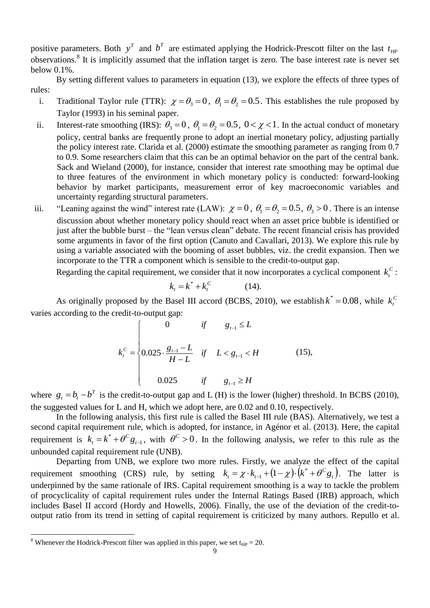positive parameters. Both  $y^T$  and  $b^T$  are estimated applying the Hodrick-Prescott filter on the last  $t_{HP}$ observations.<sup>8</sup> It is implicitly assumed that the inflation target is zero. The base interest rate is never set below 0.1%.

By setting different values to parameters in equation (13), we explore the effects of three types of rules:

- i. Traditional Taylor rule (TTR):  $\chi = \theta_3 = 0$ ,  $\theta_1 = \theta_2 = 0.5$ . This establishes the rule proposed by Taylor (1993) in his seminal paper.
- ii. Interest-rate smoothing (IRS):  $\theta_3 = 0$ ,  $\theta_1 = \theta_2 = 0.5$ ,  $0 < \chi < 1$ . In the actual conduct of monetary policy, central banks are frequently prone to adopt an inertial monetary policy, adjusting partially the policy interest rate. Clarida et al. (2000) estimate the smoothing parameter as ranging from 0.7 to 0.9. Some researchers claim that this can be an optimal behavior on the part of the central bank. Sack and Wieland (2000), for instance, consider that interest rate smoothing may be optimal due to three features of the environment in which monetary policy is conducted: forward-looking behavior by market participants, measurement error of key macroeconomic variables and uncertainty regarding structural parameters.
- iii. "Leaning against the wind" interest rate (LAW):  $\chi = 0$ ,  $\theta_1 = \theta_2 = 0.5$ ,  $\theta_3 > 0$ . There is an intense discussion about whether monetary policy should react when an asset price bubble is identified or just after the bubble burst – the "lean versus clean" debate. The recent financial crisis has provided some arguments in favor of the first option (Canuto and Cavallari, 2013). We explore this rule by using a variable associated with the booming of asset bubbles, viz. the credit expansion. Then we incorporate to the TTR a component which is sensible to the credit-to-output gap.

Regarding the capital requirement, we consider that it now incorporates a cyclical component  $k_t^C$  $k_t^C$  :

$$
k_t = k^* + k_t^C \tag{14}
$$

As originally proposed by the Basel III accord (BCBS, 2010), we establish  $k^* = 0.08$ , while  $k_t^c$ *t k* varies according to the credit-to-output gap:

$$
k_t^c = \begin{cases} 0 & \text{if } g_{t-1} \le L \\ 0.025 \cdot \frac{g_{t-1} - L}{H - L} & \text{if } L < g_{t-1} < H \\ 0.025 & \text{if } g_{t-1} \ge H \end{cases} \tag{15},
$$

where  $g_t = b_t - b^T$  is the credit-to-output gap and L (H) is the lower (higher) threshold. In BCBS (2010), the suggested values for L and H, which we adopt here, are 0.02 and 0.10, respectively.

In the following analysis, this first rule is called the Basel III rule (BAS). Alternatively, we test a second capital requirement rule, which is adopted, for instance, in Agénor et al. (2013). Here, the capital requirement is  $k_t = k^* + \theta^C g_{t-1}$  $k_t = k^* + \theta^C g_{t-1}$ , with  $\theta^C > 0$ . In the following analysis, we refer to this rule as the unbounded capital requirement rule (UNB).

Departing from UNB, we explore two more rules. Firstly, we analyze the effect of the capital requirement smoothing (CRS) rule, by setting  $k_t = \chi \cdot k_{t-1} + (1 - \chi) \cdot (k^* + \theta^C g_t)$  $_{1}+(1-\chi)\cdot(k^*+\theta^C g_t)$ . The latter is underpinned by the same rationale of IRS. Capital requirement smoothing is a way to tackle the problem of procyclicality of capital requirement rules under the Internal Ratings Based (IRB) approach, which includes Basel II accord (Hordy and Howells, 2006). Finally, the use of the deviation of the credit-tooutput ratio from its trend in setting of capital requirement is criticized by many authors. Repullo et al.

 $\overline{a}$ 

<sup>&</sup>lt;sup>8</sup> Whenever the Hodrick-Prescott filter was applied in this paper, we set t<sub>HP</sub> = 20.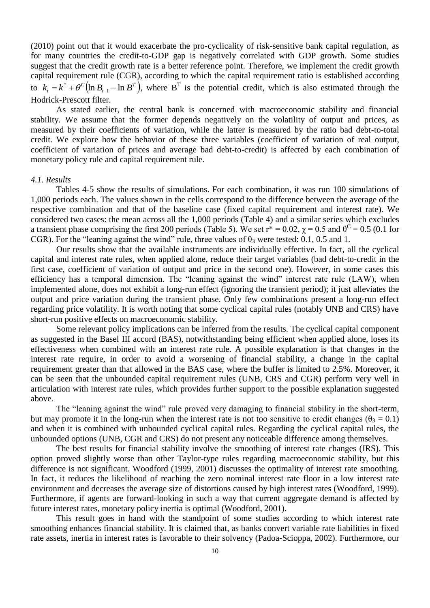(2010) point out that it would exacerbate the pro-cyclicality of risk-sensitive bank capital regulation, as for many countries the credit-to-GDP gap is negatively correlated with GDP growth. Some studies suggest that the credit growth rate is a better reference point. Therefore, we implement the credit growth capital requirement rule (CGR), according to which the capital requirement ratio is established according to  $k_{t} = k^* + \theta^C (\ln B_{t-1} - \ln B^T),$ *t*  $k_t = k^* + \theta^C (\ln B_{t-1} - \ln B^T)$ , where B<sup>T</sup> is the potential credit, which is also estimated through the Hodrick-Prescott filter.

As stated earlier, the central bank is concerned with macroeconomic stability and financial stability. We assume that the former depends negatively on the volatility of output and prices, as measured by their coefficients of variation, while the latter is measured by the ratio bad debt-to-total credit. We explore how the behavior of these three variables (coefficient of variation of real output, coefficient of variation of prices and average bad debt-to-credit) is affected by each combination of monetary policy rule and capital requirement rule.

#### *4.1. Results*

Tables 4-5 show the results of simulations. For each combination, it was run 100 simulations of 1,000 periods each. The values shown in the cells correspond to the difference between the average of the respective combination and that of the baseline case (fixed capital requirement and interest rate). We considered two cases: the mean across all the 1,000 periods (Table 4) and a similar series which excludes a transient phase comprising the first 200 periods (Table 5). We set  $r^* = 0.02$ ,  $\chi = 0.5$  and  $\theta^C = 0.5$  (0.1 for CGR). For the "leaning against the wind" rule, three values of  $\theta_3$  were tested: 0.1, 0.5 and 1.

Our results show that the available instruments are individually effective. In fact, all the cyclical capital and interest rate rules, when applied alone, reduce their target variables (bad debt-to-credit in the first case, coefficient of variation of output and price in the second one). However, in some cases this efficiency has a temporal dimension. The "leaning against the wind" interest rate rule (LAW), when implemented alone, does not exhibit a long-run effect (ignoring the transient period); it just alleviates the output and price variation during the transient phase. Only few combinations present a long-run effect regarding price volatility. It is worth noting that some cyclical capital rules (notably UNB and CRS) have short-run positive effects on macroeconomic stability.

Some relevant policy implications can be inferred from the results. The cyclical capital component as suggested in the Basel III accord (BAS), notwithstanding being efficient when applied alone, loses its effectiveness when combined with an interest rate rule. A possible explanation is that changes in the interest rate require, in order to avoid a worsening of financial stability, a change in the capital requirement greater than that allowed in the BAS case, where the buffer is limited to 2.5%. Moreover, it can be seen that the unbounded capital requirement rules (UNB, CRS and CGR) perform very well in articulation with interest rate rules, which provides further support to the possible explanation suggested above.

The "leaning against the wind" rule proved very damaging to financial stability in the short-term, but may promote it in the long-run when the interest rate is not too sensitive to credit changes ( $\theta_3 = 0.1$ ) and when it is combined with unbounded cyclical capital rules. Regarding the cyclical capital rules, the unbounded options (UNB, CGR and CRS) do not present any noticeable difference among themselves.

The best results for financial stability involve the smoothing of interest rate changes (IRS). This option proved slightly worse than other Taylor-type rules regarding macroeconomic stability, but this difference is not significant. Woodford (1999, 2001) discusses the optimality of interest rate smoothing. In fact, it reduces the likelihood of reaching the zero nominal interest rate floor in a low interest rate environment and decreases the average size of distortions caused by high interest rates (Woodford, 1999). Furthermore, if agents are forward-looking in such a way that current aggregate demand is affected by future interest rates, monetary policy inertia is optimal (Woodford, 2001).

This result goes in hand with the standpoint of some studies according to which interest rate smoothing enhances financial stability. It is claimed that, as banks convert variable rate liabilities in fixed rate assets, inertia in interest rates is favorable to their solvency (Padoa-Scioppa, 2002). Furthermore, our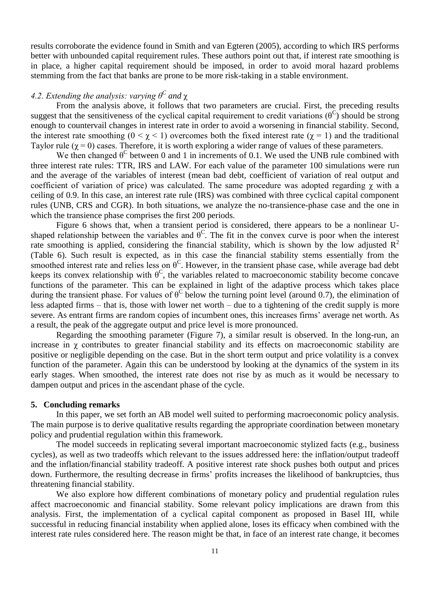results corroborate the evidence found in Smith and van Egteren (2005), according to which IRS performs better with unbounded capital requirement rules. These authors point out that, if interest rate smoothing is in place, a higher capital requirement should be imposed, in order to avoid moral hazard problems stemming from the fact that banks are prone to be more risk-taking in a stable environment.

# *4.2. Extending the analysis: varying θ<sup>C</sup> and* χ

From the analysis above, it follows that two parameters are crucial. First, the preceding results suggest that the sensitiveness of the cyclical capital requirement to credit variations  $(\theta^C)$  should be strong enough to countervail changes in interest rate in order to avoid a worsening in financial stability. Second, the interest rate smoothing ( $0 \le \chi \le 1$ ) overcomes both the fixed interest rate ( $\chi = 1$ ) and the traditional Taylor rule ( $\chi$  = 0) cases. Therefore, it is worth exploring a wider range of values of these parameters.

We then changed  $\theta^C$  between 0 and 1 in increments of 0.1. We used the UNB rule combined with three interest rate rules: TTR, IRS and LAW. For each value of the parameter 100 simulations were run and the average of the variables of interest (mean bad debt, coefficient of variation of real output and coefficient of variation of price) was calculated. The same procedure was adopted regarding  $\chi$  with a ceiling of 0.9. In this case, an interest rate rule (IRS) was combined with three cyclical capital component rules (UNB, CRS and CGR). In both situations, we analyze the no-transience-phase case and the one in which the transience phase comprises the first 200 periods.

Figure 6 shows that, when a transient period is considered, there appears to be a nonlinear Ushaped relationship between the variables and  $\theta^C$ . The fit in the convex curve is poor when the interest rate smoothing is applied, considering the financial stability, which is shown by the low adjusted  $R^2$ (Table 6). Such result is expected, as in this case the financial stability stems essentially from the smoothed interest rate and relies less on  $\theta^C$ . However, in the transient phase case, while average bad debt keeps its convex relationship with  $\theta^C$ , the variables related to macroeconomic stability become concave functions of the parameter. This can be explained in light of the adaptive process which takes place during the transient phase. For values of  $\theta^C$  below the turning point level (around 0.7), the elimination of less adapted firms – that is, those with lower net worth – due to a tightening of the credit supply is more severe. As entrant firms are random copies of incumbent ones, this increases firms' average net worth. As a result, the peak of the aggregate output and price level is more pronounced.

Regarding the smoothing parameter (Figure 7), a similar result is observed. In the long-run, an increase in  $\chi$  contributes to greater financial stability and its effects on macroeconomic stability are positive or negligible depending on the case. But in the short term output and price volatility is a convex function of the parameter. Again this can be understood by looking at the dynamics of the system in its early stages. When smoothed, the interest rate does not rise by as much as it would be necessary to dampen output and prices in the ascendant phase of the cycle.

#### **5. Concluding remarks**

In this paper, we set forth an AB model well suited to performing macroeconomic policy analysis. The main purpose is to derive qualitative results regarding the appropriate coordination between monetary policy and prudential regulation within this framework.

The model succeeds in replicating several important macroeconomic stylized facts (e.g., business cycles), as well as two tradeoffs which relevant to the issues addressed here: the inflation/output tradeoff and the inflation/financial stability tradeoff. A positive interest rate shock pushes both output and prices down. Furthermore, the resulting decrease in firms' profits increases the likelihood of bankruptcies, thus threatening financial stability.

We also explore how different combinations of monetary policy and prudential regulation rules affect macroeconomic and financial stability. Some relevant policy implications are drawn from this analysis. First, the implementation of a cyclical capital component as proposed in Basel III, while successful in reducing financial instability when applied alone, loses its efficacy when combined with the interest rate rules considered here. The reason might be that, in face of an interest rate change, it becomes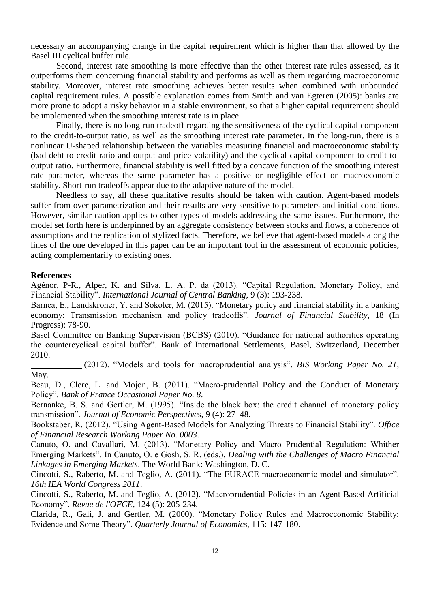necessary an accompanying change in the capital requirement which is higher than that allowed by the Basel III cyclical buffer rule.

Second, interest rate smoothing is more effective than the other interest rate rules assessed, as it outperforms them concerning financial stability and performs as well as them regarding macroeconomic stability. Moreover, interest rate smoothing achieves better results when combined with unbounded capital requirement rules. A possible explanation comes from Smith and van Egteren (2005): banks are more prone to adopt a risky behavior in a stable environment, so that a higher capital requirement should be implemented when the smoothing interest rate is in place.

Finally, there is no long-run tradeoff regarding the sensitiveness of the cyclical capital component to the credit-to-output ratio, as well as the smoothing interest rate parameter. In the long-run, there is a nonlinear U-shaped relationship between the variables measuring financial and macroeconomic stability (bad debt-to-credit ratio and output and price volatility) and the cyclical capital component to credit-tooutput ratio. Furthermore, financial stability is well fitted by a concave function of the smoothing interest rate parameter, whereas the same parameter has a positive or negligible effect on macroeconomic stability. Short-run tradeoffs appear due to the adaptive nature of the model.

Needless to say, all these qualitative results should be taken with caution. Agent-based models suffer from over-parametrization and their results are very sensitive to parameters and initial conditions. However, similar caution applies to other types of models addressing the same issues. Furthermore, the model set forth here is underpinned by an aggregate consistency between stocks and flows, a coherence of assumptions and the replication of stylized facts. Therefore, we believe that agent-based models along the lines of the one developed in this paper can be an important tool in the assessment of economic policies, acting complementarily to existing ones.

## **References**

Agénor, P-R., Alper, K. and Silva, L. A. P. da (2013). "Capital Regulation, Monetary Policy, and Financial Stability". *International Journal of Central Banking*, 9 (3): 193-238.

Barnea, E., Landskroner, Y. and Sokoler, M. (2015). "Monetary policy and financial stability in a banking economy: Transmission mechanism and policy tradeoffs". *Journal of Financial Stability*, 18 (In Progress): 78-90.

Basel Committee on Banking Supervision (BCBS) (2010). "Guidance for national authorities operating the countercyclical capital buffer". Bank of International Settlements, Basel, Switzerland, December 2010.

(2012). "Models and tools for macroprudential analysis". *BIS Working Paper No. 21*, May.

Beau, D., Clerc, L. and Mojon, B. (2011). "Macro-prudential Policy and the Conduct of Monetary Policy". *Bank of France Occasional Paper No. 8*.

Bernanke, B. S. and Gertler, M. (1995). "Inside the black box: the credit channel of monetary policy transmission". *Journal of Economic Perspectives*, 9 (4): 27–48.

Bookstaber, R. (2012). "Using Agent-Based Models for Analyzing Threats to Financial Stability". *Office of Financial Research Working Paper No. 0003*.

Canuto, O. and Cavallari, M. (2013). "Monetary Policy and Macro Prudential Regulation: Whither Emerging Markets". In Canuto, O. e Gosh, S. R. (eds.), *Dealing with the Challenges of Macro Financial Linkages in Emerging Markets*. The World Bank: Washington, D. C.

Cincotti, S., Raberto, M. and Teglio, A. (2011). "The EURACE macroeconomic model and simulator". *16th IEA World Congress 2011*.

Cincotti, S., Raberto, M. and Teglio, A. (2012). "Macroprudential Policies in an Agent-Based Artificial Economy". *Revue de l'OFCE*, 124 (5): 205-234.

Clarida, R., Gali, J. and Gertler, M. (2000). "Monetary Policy Rules and Macroeconomic Stability: Evidence and Some Theory". *Quarterly Journal of Economics*, 115: 147-180.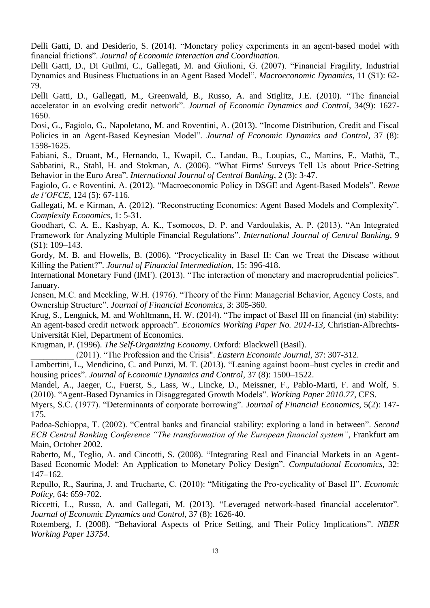Delli Gatti, D. and Desiderio, S. (2014). "Monetary policy experiments in an agent-based model with financial frictions". *Journal of Economic Interaction and Coordination*.

Delli Gatti, D., Di Guilmi, C., Gallegati, M. and Giulioni, G. (2007). "Financial Fragility, Industrial Dynamics and Business Fluctuations in an Agent Based Model". *Macroeconomic Dynamics*, 11 (S1): 62- 79.

Delli Gatti, D., Gallegati, M., Greenwald, B., Russo, A. and Stiglitz, J.E. (2010). "The financial accelerator in an evolving credit network". *Journal of Economic Dynamics and Control*, 34(9): 1627- 1650.

Dosi, G., Fagiolo, G., Napoletano, M. and Roventini, A. (2013). "Income Distribution, Credit and Fiscal Policies in an Agent-Based Keynesian Model". *Journal of Economic Dynamics and Control*, 37 (8): 1598-1625.

Fabiani, S., Druant, M., Hernando, I., Kwapil, C., Landau, B., Loupias, C., Martins, F., Mathä, T., Sabbatini, R., Stahl, H. and Stokman, A. (2006). "What Firms' Surveys Tell Us about Price-Setting Behavior in the Euro Area". *International Journal of Central Banking*, 2 (3): 3-47.

Fagiolo, G. e Roventini, A. (2012). "Macroeconomic Policy in DSGE and Agent-Based Models". *Revue de l'OFCE*, 124 (5): 67-116.

Gallegati, M. e Kirman, A. (2012). "Reconstructing Economics: Agent Based Models and Complexity". *Complexity Economics*, 1: 5-31.

Goodhart, C. A. E., Kashyap, A. K., Tsomocos, D. P. and Vardoulakis, A. P. (2013). "An Integrated Framework for Analyzing Multiple Financial Regulations". *International Journal of Central Banking*, 9 (S1): 109–143.

Gordy, M. B. and Howells, B. (2006). "Procyclicality in Basel II: Can we Treat the Disease without Killing the Patient?". *Journal of Financial Intermediation*, 15: 396-418.

International Monetary Fund (IMF). (2013). "The interaction of monetary and macroprudential policies". January.

Jensen, M.C. and Meckling, W.H. (1976). "Theory of the Firm: Managerial Behavior, Agency Costs, and Ownership Structure". *Journal of Financial Economics*, 3: 305-360.

Krug, S., Lengnick, M. and Wohltmann, H. W. (2014). "The impact of Basel III on financial (in) stability: An agent-based credit network approach". *Economics Working Paper No. 2014-13*, Christian-Albrechts-Universität Kiel, Department of Economics.

Krugman, P. (1996). *The Self-Organizing Economy*. Oxford: Blackwell (Basil).

\_\_\_\_\_\_\_\_\_\_ (2011). "The Profession and the Crisis". *Eastern Economic Journal*, 37: 307-312.

Lambertini, L., Mendicino, C. and Punzi, M. T. (2013). "Leaning against boom–bust cycles in credit and housing prices". *Journal of Economic Dynamics and Control*, 37 (8): 1500–1522.

Mandel, A., Jaeger, C., Fuerst, S., Lass, W., Lincke, D., Meissner, F., Pablo-Marti, F. and Wolf, S. (2010). "Agent-Based Dynamics in Disaggregated Growth Models". *Working Paper 2010.77*, CES.

Myers, S.C. (1977). "Determinants of corporate borrowing". *Journal of Financial Economics*, 5(2): 147- 175.

Padoa-Schioppa, T. (2002). "Central banks and financial stability: exploring a land in between". *Second ECB Central Banking Conference "The transformation of the European financial system"*, Frankfurt am Main, October 2002.

Raberto, M., Teglio, A. and Cincotti, S. (2008). "Integrating Real and Financial Markets in an Agent-Based Economic Model: An Application to Monetary Policy Design". *Computational Economics*, 32: 147–162.

Repullo, R., Saurina, J. and Trucharte, C. (2010): "Mitigating the Pro-cyclicality of Basel II". *Economic Policy*, 64: 659-702.

Riccetti, L., Russo, A. and Gallegati, M. (2013). "Leveraged network-based financial accelerator". *Journal of Economic Dynamics and Control*, 37 (8): 1626-40.

Rotemberg, J. (2008). "Behavioral Aspects of Price Setting, and Their Policy Implications". *NBER Working Paper 13754*.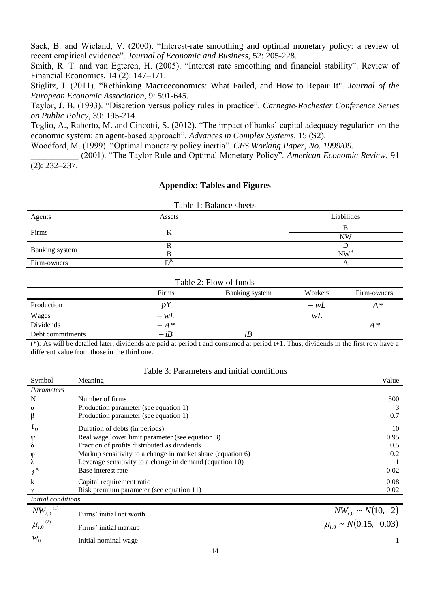Sack, B. and Wieland, V. (2000). "Interest-rate smoothing and optimal monetary policy: a review of recent empirical evidence". *Journal of Economic and Business*, 52: 205-228.

Smith, R. T. and van Egteren, H. (2005). "Interest rate smoothing and financial stability". Review of Financial Economics, 14 (2): 147–171.

Stiglitz, J. (2011). "Rethinking Macroeconomics: What Failed, and How to Repair It". *Journal of the European Economic Association*, 9: 591-645.

Taylor, J. B. (1993). "Discretion versus policy rules in practice". *Carnegie-Rochester Conference Series on Public Policy*, 39: 195-214.

Teglio, A., Raberto, M. and Cincotti, S. (2012). "The impact of banks' capital adequacy regulation on the economic system: an agent-based approach". *Advances in Complex Systems*, 15 (S2).

Woodford, M. (1999). "Optimal monetary policy inertia". *CFS Working Paper, No. 1999/09*.

\_\_\_\_\_\_\_\_\_\_\_ (2001). "The Taylor Rule and Optimal Monetary Policy". *American Economic Review*, 91 (2): 232–237.

# **Appendix: Tables and Figures**

| Table 1: Balance sheets |        |                 |  |  |
|-------------------------|--------|-----------------|--|--|
| Agents                  | Assets | Liabilities     |  |  |
| Firms                   |        |                 |  |  |
|                         |        | <b>NW</b>       |  |  |
| Banking system          |        |                 |  |  |
|                         |        | NW <sup>B</sup> |  |  |
| Firm-owners             |        |                 |  |  |

| Table 2: Flow of funds |        |                |         |             |  |
|------------------------|--------|----------------|---------|-------------|--|
|                        | Firms  | Banking system | Workers | Firm-owners |  |
| Production             | pY     |                | $-wL$   | $-A^*$      |  |
| Wages                  | $-wL$  |                | wL      |             |  |
| Dividends              | $-A^*$ |                |         | $A^*$       |  |
| Debt commitments       | $-iB$  | iB             |         |             |  |

(\*): As will be detailed later, dividends are paid at period t and consumed at period t+1. Thus, dividends in the first row have a different value from those in the third one.

### Table 3: Parameters and initial conditions

| Symbol                    | Meaning                                                     | Value |
|---------------------------|-------------------------------------------------------------|-------|
| Parameters                |                                                             |       |
| N                         | Number of firms                                             | 500   |
| α                         | Production parameter (see equation 1)                       |       |
|                           | Production parameter (see equation 1)                       | 0.7   |
| $\iota_D$                 | Duration of debts (in periods)                              | 10    |
| W                         | Real wage lower limit parameter (see equation 3)            | 0.95  |
|                           | Fraction of profits distributed as dividends                | 0.5   |
| O                         | Markup sensitivity to a change in market share (equation 6) | 0.2   |
|                           | Leverage sensitivity to a change in demand (equation 10)    |       |
| $\cdot^B$                 | Base interest rate                                          | 0.02  |
| k                         | Capital requirement ratio                                   | 0.08  |
|                           | Risk premium parameter (see equation 11)                    | 0.02  |
| <i>Initial conditions</i> |                                                             |       |

| $NW_{i,0}^{(1)}$  | Firms' initial net worth | $NW_{i0} \sim N(10, 2)$        |
|-------------------|--------------------------|--------------------------------|
| $\mu_{i,0}^{(2)}$ | Firms' initial markup    | $\mu_{i.0} \sim N(0.15, 0.03)$ |
| $W_0$             | Initial nominal wage     |                                |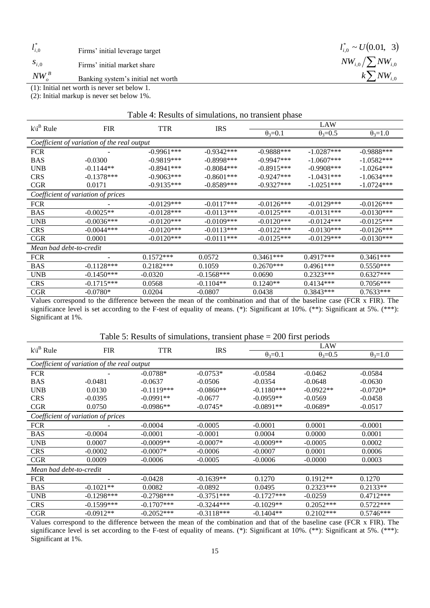$l_{i,0}^*$ Firms' initial leverage target

*i*,0 *s* Firms' initial market share

(1): Initial net worth is never set below 1.

(2): Initial markup is never set below 1%.

| Table 4: Results of simulations, no transient phase |                                    |              |              |                  |                  |                  |
|-----------------------------------------------------|------------------------------------|--------------|--------------|------------------|------------------|------------------|
| $k\backslash i^B$ Rule                              |                                    |              | <b>IRS</b>   | LAW              |                  |                  |
|                                                     | <b>FIR</b>                         | TTR          |              | $\theta_3 = 0.1$ | $\theta_3 = 0.5$ | $\theta_3 = 1.0$ |
| Coefficient of variation of the real output         |                                    |              |              |                  |                  |                  |
| <b>FCR</b>                                          |                                    | $-0.9961***$ | $-0.9342***$ | $-0.9888***$     | $-1.0287***$     | $-0.9888***$     |
| <b>BAS</b>                                          | $-0.0300$                          | $-0.9819***$ | $-0.8998***$ | $-0.9947***$     | $-1.0607***$     | $-1.0582***$     |
| <b>UNB</b>                                          | $-0.1144**$                        | $-0.8941***$ | $-0.8084***$ | $-0.8915***$     | $-0.9908$ ***    | $-1.0264***$     |
| <b>CRS</b>                                          | $-0.1378***$                       | $-0.9063***$ | $-0.8601***$ | $-0.9247***$     | $-1.0431***$     | $-1.0634***$     |
| <b>CGR</b>                                          | 0.0171                             | $-0.9135***$ | $-0.8589***$ | $-0.9327***$     | $-1.0251***$     | $-1.0724***$     |
|                                                     | Coefficient of variation of prices |              |              |                  |                  |                  |
| <b>FCR</b>                                          |                                    | $-0.0129***$ | $-0.0117***$ | $-0.0126***$     | $-0.0129***$     | $-0.0126***$     |
| <b>BAS</b>                                          | $-0.0025**$                        | $-0.0128***$ | $-0.0113***$ | $-0.0125***$     | $-0.0131***$     | $-0.0130***$     |
| <b>UNB</b>                                          | $-0.0036***$                       | $-0.0120***$ | $-0.0109***$ | $-0.0120***$     | $-0.0124***$     | $-0.0125***$     |
| <b>CRS</b>                                          | $-0.0044***$                       | $-0.0120***$ | $-0.0113***$ | $-0.0122***$     | $-0.0130***$     | $-0.0126***$     |
| <b>CGR</b>                                          | 0.0001                             | $-0.0120***$ | $-0.0111***$ | $-0.0125***$     | $-0.0129***$     | $-0.0130***$     |
| Mean bad debt-to-credit                             |                                    |              |              |                  |                  |                  |
| <b>FCR</b>                                          |                                    | $0.1572***$  | 0.0572       | $0.3461***$      | $0.4917***$      | $0.3461***$      |
| <b>BAS</b>                                          | $-0.1128***$                       | $0.2182***$  | 0.1059       | $0.2670***$      | $0.4961***$      | $0.5550***$      |
| <b>UNB</b>                                          | $-0.1450***$                       | $-0.0320$    | $-0.1568***$ | 0.0690           | $0.2323***$      | $0.6327***$      |
| <b>CRS</b>                                          | $-0.1715***$                       | 0.0568       | $-0.1104**$  | $0.1240**$       | $0.4134***$      | $0.7056***$      |
| CGR                                                 | $-0.0780*$                         | 0.0204       | $-0.0807$    | 0.0438           | $0.3843***$      | $0.7633***$      |

Values correspond to the difference between the mean of the combination and that of the baseline case (FCR x FIR). The significance level is set according to the F-test of equality of means. (\*): Significant at 10%. (\*\*): Significant at 5%. (\*\*\*): Significant at 1%.

| $k\backslash i^B$ Rule                      | <b>FIR</b>                         | TTR          | <b>IRS</b>   | LAW              |                  |                  |
|---------------------------------------------|------------------------------------|--------------|--------------|------------------|------------------|------------------|
|                                             |                                    |              |              | $\theta_3 = 0.1$ | $\theta_3 = 0.5$ | $\theta_3 = 1.0$ |
| Coefficient of variation of the real output |                                    |              |              |                  |                  |                  |
| <b>FCR</b>                                  |                                    | $-0.0788*$   | $-0.0753*$   | $-0.0584$        | $-0.0462$        | $-0.0584$        |
| <b>BAS</b>                                  | $-0.0481$                          | $-0.0637$    | $-0.0506$    | $-0.0354$        | $-0.0648$        | $-0.0630$        |
| <b>UNB</b>                                  | 0.0130                             | $-0.1119***$ | $-0.0860**$  | $-0.1180***$     | $-0.0922**$      | $-0.0720*$       |
| <b>CRS</b>                                  | $-0.0395$                          | $-0.0991**$  | $-0.0677$    | $-0.0959**$      | $-0.0569$        | $-0.0458$        |
| <b>CGR</b>                                  | 0.0750                             | $-0.0986**$  | $-0.0745*$   | $-0.0891**$      | $-0.0689*$       | $-0.0517$        |
|                                             | Coefficient of variation of prices |              |              |                  |                  |                  |
| <b>FCR</b>                                  |                                    | $-0.0004$    | $-0.0005$    | $-0.0001$        | 0.0001           | $-0.0001$        |
| <b>BAS</b>                                  | $-0.0004$                          | $-0.0001$    | $-0.0001$    | 0.0004           | 0.0000           | 0.0001           |
| <b>UNB</b>                                  | 0.0007                             | $-0.0009**$  | $-0.0007*$   | $-0.0009**$      | $-0.0005$        | 0.0002           |
| <b>CRS</b>                                  | $-0.0002$                          | $-0.0007*$   | $-0.0006$    | $-0.0007$        | 0.0001           | 0.0006           |
| <b>CGR</b>                                  | 0.0009                             | $-0.0006$    | $-0.0005$    | $-0.0006$        | $-0.0000$        | 0.0003           |
| Mean bad debt-to-credit                     |                                    |              |              |                  |                  |                  |
| <b>FCR</b>                                  |                                    | $-0.0428$    | $-0.1639**$  | 0.1270           | $0.1912**$       | 0.1270           |
| <b>BAS</b>                                  | $-0.1021**$                        | 0.0082       | $-0.0892$    | 0.0495           | $0.2323***$      | $0.2133**$       |
| <b>UNB</b>                                  | $-0.1298***$                       | $-0.2798***$ | $-0.3751***$ | $-0.1727***$     | $-0.0259$        | $0.4712***$      |
| <b>CRS</b>                                  | $-0.1599***$                       | $-0.1707***$ | $-0.3244***$ | $-0.1029**$      | $0.2052***$      | $0.5722***$      |
| <b>CGR</b>                                  | $-0.0912**$                        | $-0.2052***$ | $-0.3118***$ | $-0.1404**$      | $0.2102$ ***     | $0.5746***$      |

Values correspond to the difference between the mean of the combination and that of the baseline case (FCR x FIR). The significance level is set according to the F-test of equality of means. (\*): Significant at 10%. (\*\*): Significant at 5%. (\*\*\*): Significant at 1%.

 $l_{i,0}^* \sim U(0.01, 3)$  $NW_{i,0}/\sum NW_{i,0}$  $k\sum NW_{i,0}$ 

\*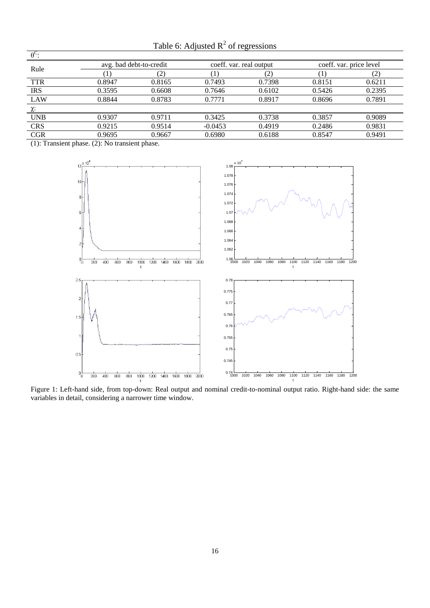| $\theta^{\rm C}$ |        |                         |           |                         |        |                         |  |
|------------------|--------|-------------------------|-----------|-------------------------|--------|-------------------------|--|
| Rule             |        | avg. bad debt-to-credit |           | coeff. var. real output |        | coeff. var. price level |  |
|                  |        | (2                      |           | (2)                     |        | $\left( 2\right)$       |  |
| <b>TTR</b>       | 0.8947 | 0.8165                  | 0.7493    | 0.7398                  | 0.8151 | 0.6211                  |  |
| <b>IRS</b>       | 0.3595 | 0.6608                  | 0.7646    | 0.6102                  | 0.5426 | 0.2395                  |  |
| LAW              | 0.8844 | 0.8783                  | 0.7771    | 0.8917                  | 0.8696 | 0.7891                  |  |
| χ:               |        |                         |           |                         |        |                         |  |
| <b>UNB</b>       | 0.9307 | 0.9711                  | 0.3425    | 0.3738                  | 0.3857 | 0.9089                  |  |
| <b>CRS</b>       | 0.9215 | 0.9514                  | $-0.0453$ | 0.4919                  | 0.2486 | 0.9831                  |  |
| <b>CGR</b>       | 0.9695 | 0.9667                  | 0.6980    | 0.6188                  | 0.8547 | 0.9491                  |  |

Table 6: Adjusted  $R^2$  of regressions

(1): Transient phase. (2): No transient phase.



Figure 1: Left-hand side, from top-down: Real output and nominal credit-to-nominal output ratio. Right-hand side: the same variables in detail, considering a narrower time window.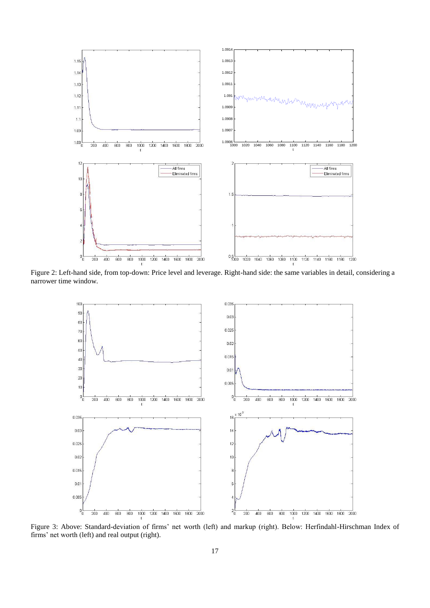

Figure 2: Left-hand side, from top-down: Price level and leverage. Right-hand side: the same variables in detail, considering a narrower time window.



Figure 3: Above: Standard-deviation of firms' net worth (left) and markup (right). Below: Herfindahl-Hirschman Index of firms' net worth (left) and real output (right).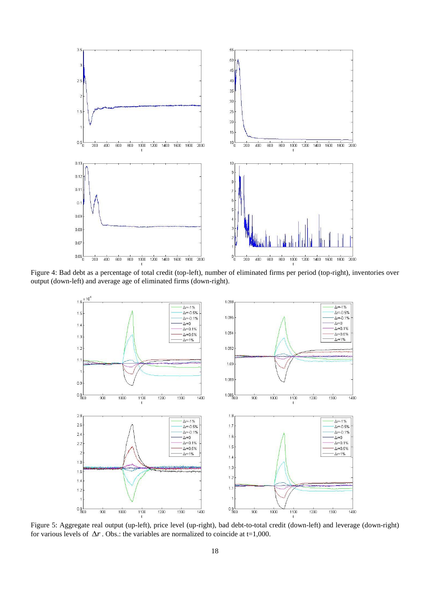

Figure 4: Bad debt as a percentage of total credit (top-left), number of eliminated firms per period (top-right), inventories over output (down-left) and average age of eliminated firms (down-right).



Figure 5: Aggregate real output (up-left), price level (up-right), bad debt-to-total credit (down-left) and leverage (down-right) for various levels of  $\Delta r$ . Obs.: the variables are normalized to coincide at t=1,000.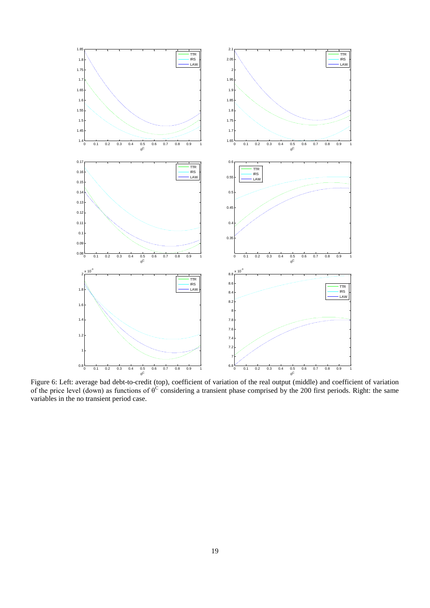

Figure 6: Left: average bad debt-to-credit (top), coefficient of variation of the real output (middle) and coefficient of variation of the price level (down) as functions of  $\theta^C$  considering a transient phase comprised by the 200 first periods. Right: the same variables in the no transient period case.